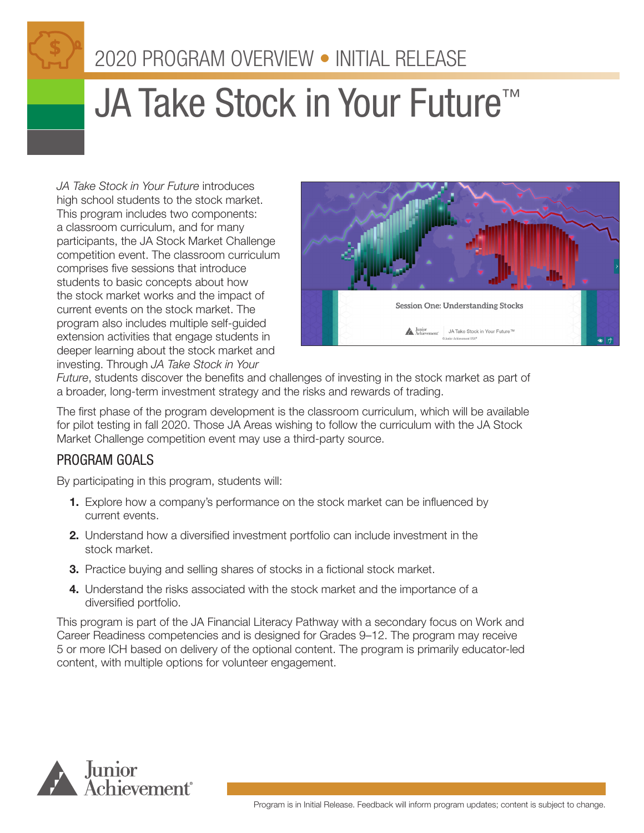# 2020 PROGRAM OVERVIEW • INITIAL RELEASE

# **JA Take Stock in Your Future™**

*JA Take Stock in Your Future* introduces high school students to the stock market. This program includes two components: a classroom curriculum, and for many participants, the JA Stock Market Challenge competition event. The classroom curriculum comprises five sessions that introduce students to basic concepts about how the stock market works and the impact of current events on the stock market. The program also includes multiple self-guided extension activities that engage students in deeper learning about the stock market and investing. Through *JA Take Stock in Your* 



*Future*, students discover the benefits and challenges of investing in the stock market as part of a broader, long-term investment strategy and the risks and rewards of trading.

The first phase of the program development is the classroom curriculum, which will be available for pilot testing in fall 2020. Those JA Areas wishing to follow the curriculum with the JA Stock Market Challenge competition event may use a third-party source.

# PROGRAM GOALS

By participating in this program, students will:

- 1. Explore how a company's performance on the stock market can be influenced by current events.
- 2. Understand how a diversified investment portfolio can include investment in the stock market.
- **3.** Practice buying and selling shares of stocks in a fictional stock market.
- 4. Understand the risks associated with the stock market and the importance of a diversified portfolio.

This program is part of the JA Financial Literacy Pathway with a secondary focus on Work and Career Readiness competencies and is designed for Grades 9–12. The program may receive 5 or more ICH based on delivery of the optional content. The program is primarily educator-led content, with multiple options for volunteer engagement.

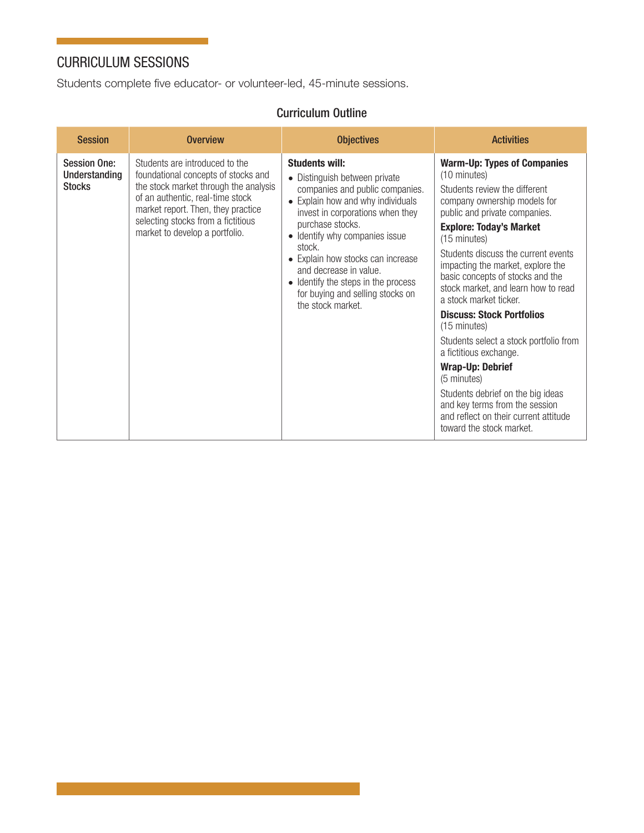# CURRICULUM SESSIONS

Students complete five educator- or volunteer-led, 45-minute sessions.

### Curriculum Outline

| <b>Session</b>                                               | <b>Overview</b>                                                                                                                                                                                                                                                  | <b>Objectives</b>                                                                                                                                                                                                                                                                                                                                                                                            | <b>Activities</b>                                                                                                                                                                                                                                                                                                                                                                                                                                                                                                                                                                                                                                                                                               |
|--------------------------------------------------------------|------------------------------------------------------------------------------------------------------------------------------------------------------------------------------------------------------------------------------------------------------------------|--------------------------------------------------------------------------------------------------------------------------------------------------------------------------------------------------------------------------------------------------------------------------------------------------------------------------------------------------------------------------------------------------------------|-----------------------------------------------------------------------------------------------------------------------------------------------------------------------------------------------------------------------------------------------------------------------------------------------------------------------------------------------------------------------------------------------------------------------------------------------------------------------------------------------------------------------------------------------------------------------------------------------------------------------------------------------------------------------------------------------------------------|
| <b>Session One:</b><br><b>Understanding</b><br><b>Stocks</b> | Students are introduced to the<br>foundational concepts of stocks and<br>the stock market through the analysis<br>of an authentic, real-time stock<br>market report. Then, they practice<br>selecting stocks from a fictitious<br>market to develop a portfolio. | <b>Students will:</b><br>• Distinguish between private<br>companies and public companies.<br>• Explain how and why individuals<br>invest in corporations when they<br>purchase stocks.<br>Identify why companies issue<br>$\bullet$<br>stock.<br>• Explain how stocks can increase<br>and decrease in value.<br>• Identify the steps in the process<br>for buying and selling stocks on<br>the stock market. | <b>Warm-Up: Types of Companies</b><br>(10 minutes)<br>Students review the different<br>company ownership models for<br>public and private companies.<br><b>Explore: Today's Market</b><br>(15 minutes)<br>Students discuss the current events<br>impacting the market, explore the<br>basic concepts of stocks and the<br>stock market, and learn how to read<br>a stock market ticker.<br><b>Discuss: Stock Portfolios</b><br>$(15 \text{ minutes})$<br>Students select a stock portfolio from<br>a fictitious exchange.<br><b>Wrap-Up: Debrief</b><br>(5 minutes)<br>Students debrief on the big ideas<br>and key terms from the session<br>and reflect on their current attitude<br>toward the stock market. |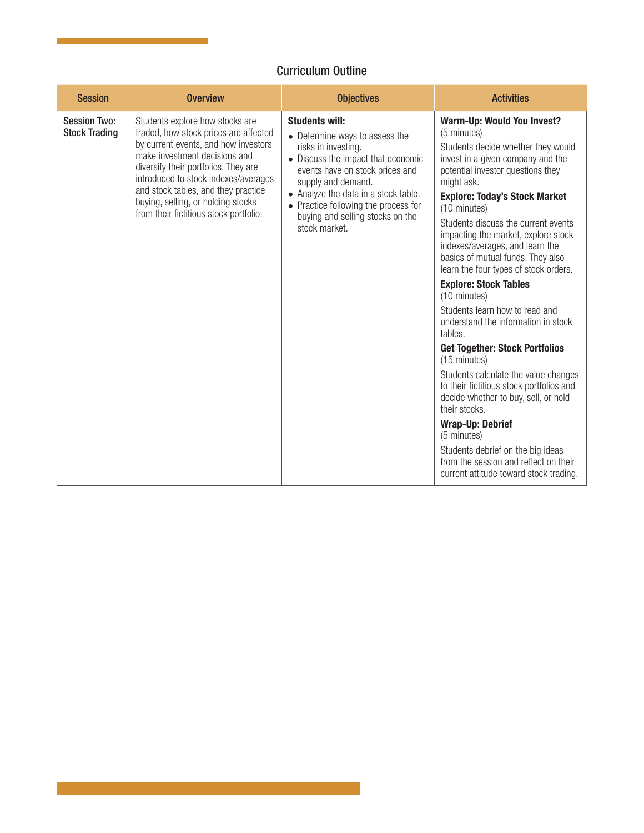### Curriculum Outline

| <b>Session</b>                              | <b>Overview</b>                                                                                                                                                                                                                                                                                                                                          | <b>Objectives</b>                                                                                                                                                                                                                                                                                                  | <b>Activities</b>                                                                                                                                                                                                                                                                                                                                                                                                                                                                                                                                                                                                                                                                                                                                                                                                                                                                                                                          |
|---------------------------------------------|----------------------------------------------------------------------------------------------------------------------------------------------------------------------------------------------------------------------------------------------------------------------------------------------------------------------------------------------------------|--------------------------------------------------------------------------------------------------------------------------------------------------------------------------------------------------------------------------------------------------------------------------------------------------------------------|--------------------------------------------------------------------------------------------------------------------------------------------------------------------------------------------------------------------------------------------------------------------------------------------------------------------------------------------------------------------------------------------------------------------------------------------------------------------------------------------------------------------------------------------------------------------------------------------------------------------------------------------------------------------------------------------------------------------------------------------------------------------------------------------------------------------------------------------------------------------------------------------------------------------------------------------|
| <b>Session Two:</b><br><b>Stock Trading</b> | Students explore how stocks are<br>traded, how stock prices are affected<br>by current events, and how investors<br>make investment decisions and<br>diversify their portfolios. They are<br>introduced to stock indexes/averages<br>and stock tables, and they practice<br>buying, selling, or holding stocks<br>from their fictitious stock portfolio. | <b>Students will:</b><br>• Determine ways to assess the<br>risks in investing.<br>• Discuss the impact that economic<br>events have on stock prices and<br>supply and demand.<br>• Analyze the data in a stock table.<br>• Practice following the process for<br>buying and selling stocks on the<br>stock market. | Warm-Up: Would You Invest?<br>(5 minutes)<br>Students decide whether they would<br>invest in a given company and the<br>potential investor questions they<br>might ask.<br><b>Explore: Today's Stock Market</b><br>(10 minutes)<br>Students discuss the current events<br>impacting the market, explore stock<br>indexes/averages, and learn the<br>basics of mutual funds. They also<br>learn the four types of stock orders.<br><b>Explore: Stock Tables</b><br>(10 minutes)<br>Students learn how to read and<br>understand the information in stock<br>tables.<br><b>Get Together: Stock Portfolios</b><br>(15 minutes)<br>Students calculate the value changes<br>to their fictitious stock portfolios and<br>decide whether to buy, sell, or hold<br>their stocks.<br><b>Wrap-Up: Debrief</b><br>(5 minutes)<br>Students debrief on the big ideas<br>from the session and reflect on their<br>current attitude toward stock trading. |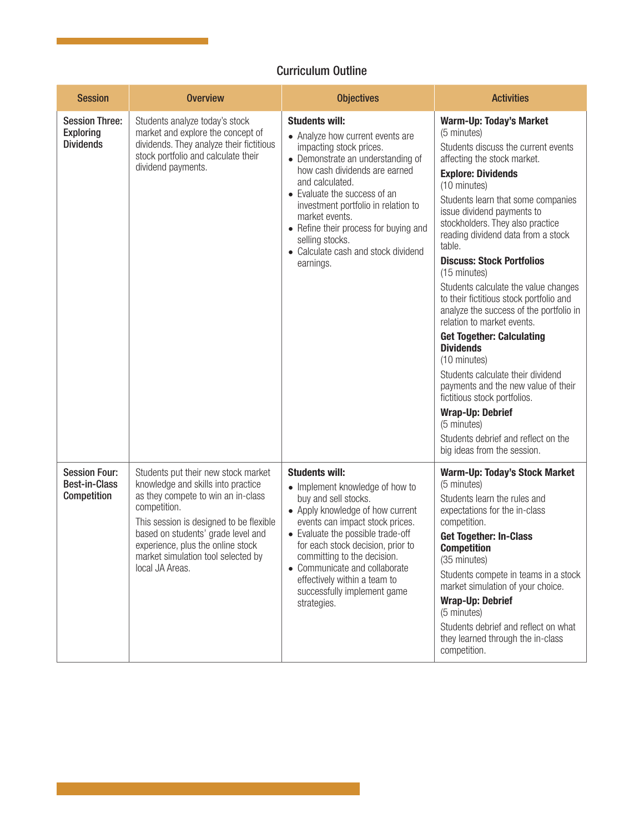#### Curriculum Outline

| <b>Session</b>                                                | <b>Overview</b>                                                                                                                                                                                                                                                                                                | <b>Objectives</b>                                                                                                                                                                                                                                                                                                                                                                      | <b>Activities</b>                                                                                                                                                                                                                                                                                                                                                                                                                                                                                                                                                                                                                                                                                                                                                                                                                            |
|---------------------------------------------------------------|----------------------------------------------------------------------------------------------------------------------------------------------------------------------------------------------------------------------------------------------------------------------------------------------------------------|----------------------------------------------------------------------------------------------------------------------------------------------------------------------------------------------------------------------------------------------------------------------------------------------------------------------------------------------------------------------------------------|----------------------------------------------------------------------------------------------------------------------------------------------------------------------------------------------------------------------------------------------------------------------------------------------------------------------------------------------------------------------------------------------------------------------------------------------------------------------------------------------------------------------------------------------------------------------------------------------------------------------------------------------------------------------------------------------------------------------------------------------------------------------------------------------------------------------------------------------|
| <b>Session Three:</b><br><b>Exploring</b><br><b>Dividends</b> | Students analyze today's stock<br>market and explore the concept of<br>dividends. They analyze their fictitious<br>stock portfolio and calculate their<br>dividend payments.                                                                                                                                   | <b>Students will:</b><br>• Analyze how current events are<br>impacting stock prices.<br>• Demonstrate an understanding of<br>how cash dividends are earned<br>and calculated.<br>• Evaluate the success of an<br>investment portfolio in relation to<br>market events.<br>• Refine their process for buying and<br>selling stocks.<br>• Calculate cash and stock dividend<br>earnings. | <b>Warm-Up: Today's Market</b><br>(5 minutes)<br>Students discuss the current events<br>affecting the stock market.<br><b>Explore: Dividends</b><br>(10 minutes)<br>Students learn that some companies<br>issue dividend payments to<br>stockholders. They also practice<br>reading dividend data from a stock<br>table.<br><b>Discuss: Stock Portfolios</b><br>(15 minutes)<br>Students calculate the value changes<br>to their fictitious stock portfolio and<br>analyze the success of the portfolio in<br>relation to market events.<br><b>Get Together: Calculating</b><br><b>Dividends</b><br>(10 minutes)<br>Students calculate their dividend<br>payments and the new value of their<br>fictitious stock portfolios.<br><b>Wrap-Up: Debrief</b><br>(5 minutes)<br>Students debrief and reflect on the<br>big ideas from the session. |
| <b>Session Four:</b><br><b>Best-in-Class</b><br>Competition   | Students put their new stock market<br>knowledge and skills into practice<br>as they compete to win an in-class<br>competition.<br>This session is designed to be flexible<br>based on students' grade level and<br>experience, plus the online stock<br>market simulation tool selected by<br>local JA Areas. | <b>Students will:</b><br>• Implement knowledge of how to<br>buy and sell stocks.<br>• Apply knowledge of how current<br>events can impact stock prices.<br>• Evaluate the possible trade-off<br>for each stock decision, prior to<br>committing to the decision<br>• Communicate and collaborate<br>effectively within a team to<br>successfully implement game<br>strategies.         | <b>Warm-Up: Today's Stock Market</b><br>(5 minutes)<br>Students learn the rules and<br>expectations for the in-class<br>competition.<br><b>Get Together: In-Class</b><br><b>Competition</b><br>(35 minutes)<br>Students compete in teams in a stock<br>market simulation of your choice.<br><b>Wrap-Up: Debrief</b><br>(5 minutes)<br>Students debrief and reflect on what<br>they learned through the in-class<br>competition.                                                                                                                                                                                                                                                                                                                                                                                                              |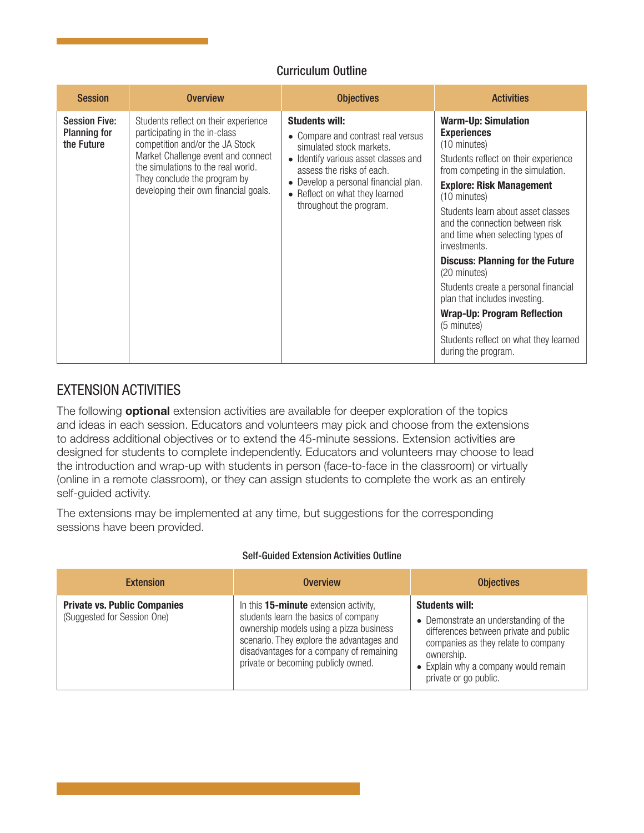#### Curriculum Outline

| <b>Session</b>                                            | <b>Overview</b>                                                                                                                                                                                                                                               | <b>Objectives</b>                                                                                                                                                                                                                                                 | <b>Activities</b>                                                                                                                                                                                                                                                                                                                                                                                                                                                                                                                                                                      |
|-----------------------------------------------------------|---------------------------------------------------------------------------------------------------------------------------------------------------------------------------------------------------------------------------------------------------------------|-------------------------------------------------------------------------------------------------------------------------------------------------------------------------------------------------------------------------------------------------------------------|----------------------------------------------------------------------------------------------------------------------------------------------------------------------------------------------------------------------------------------------------------------------------------------------------------------------------------------------------------------------------------------------------------------------------------------------------------------------------------------------------------------------------------------------------------------------------------------|
| <b>Session Five:</b><br><b>Planning for</b><br>the Future | Students reflect on their experience<br>participating in the in-class<br>competition and/or the JA Stock<br>Market Challenge event and connect<br>the simulations to the real world.<br>They conclude the program by<br>developing their own financial goals. | <b>Students will:</b><br>• Compare and contrast real versus<br>simulated stock markets.<br>• Identify various asset classes and<br>assess the risks of each.<br>• Develop a personal financial plan.<br>• Reflect on what they learned<br>throughout the program. | <b>Warm-Up: Simulation</b><br><b>Experiences</b><br>(10 minutes)<br>Students reflect on their experience<br>from competing in the simulation.<br><b>Explore: Risk Management</b><br>(10 minutes)<br>Students learn about asset classes<br>and the connection between risk<br>and time when selecting types of<br>investments.<br><b>Discuss: Planning for the Future</b><br>(20 minutes)<br>Students create a personal financial<br>plan that includes investing.<br><b>Wrap-Up: Program Reflection</b><br>(5 minutes)<br>Students reflect on what they learned<br>during the program. |

# EXTENSION ACTIVITIES

The following **optional** extension activities are available for deeper exploration of the topics and ideas in each session. Educators and volunteers may pick and choose from the extensions to address additional objectives or to extend the 45-minute sessions. Extension activities are designed for students to complete independently. Educators and volunteers may choose to lead the introduction and wrap-up with students in person (face-to-face in the classroom) or virtually (online in a remote classroom), or they can assign students to complete the work as an entirely self-guided activity.

The extensions may be implemented at any time, but suggestions for the corresponding sessions have been provided.

#### Self-Guided Extension Activities Outline

| <b>Extension</b>                                                   | <b>Overview</b>                                                                                                                                                                                                                                          | <b>Objectives</b>                                                                                                                                                                                                              |
|--------------------------------------------------------------------|----------------------------------------------------------------------------------------------------------------------------------------------------------------------------------------------------------------------------------------------------------|--------------------------------------------------------------------------------------------------------------------------------------------------------------------------------------------------------------------------------|
| <b>Private vs. Public Companies</b><br>(Suggested for Session One) | In this 15-minute extension activity,<br>students learn the basics of company<br>ownership models using a pizza business<br>scenario. They explore the advantages and<br>disadvantages for a company of remaining<br>private or becoming publicly owned. | <b>Students will:</b><br>• Demonstrate an understanding of the<br>differences between private and public<br>companies as they relate to company<br>ownership.<br>• Explain why a company would remain<br>private or go public. |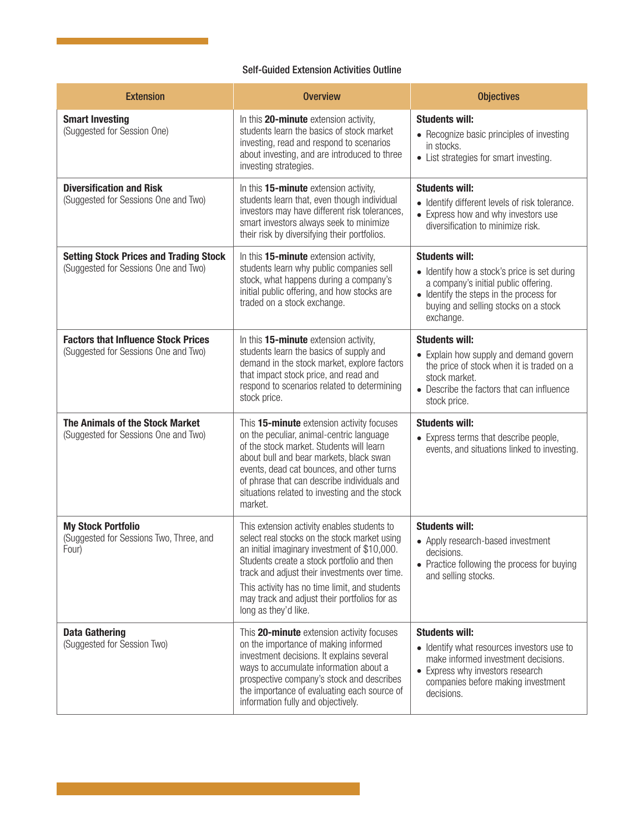#### Self-Guided Extension Activities Outline

| <b>Extension</b>                                                                      | <b>Overview</b>                                                                                                                                                                                                                                                                                                                                                     | <b>Objectives</b>                                                                                                                                                                                             |
|---------------------------------------------------------------------------------------|---------------------------------------------------------------------------------------------------------------------------------------------------------------------------------------------------------------------------------------------------------------------------------------------------------------------------------------------------------------------|---------------------------------------------------------------------------------------------------------------------------------------------------------------------------------------------------------------|
| <b>Smart Investing</b><br>(Suggested for Session One)                                 | In this 20-minute extension activity,<br>students learn the basics of stock market<br>investing, read and respond to scenarios<br>about investing, and are introduced to three<br>investing strategies.                                                                                                                                                             | <b>Students will:</b><br>• Recognize basic principles of investing<br>in stocks.<br>• List strategies for smart investing.                                                                                    |
| <b>Diversification and Risk</b><br>(Suggested for Sessions One and Two)               | In this 15-minute extension activity,<br>students learn that, even though individual<br>investors may have different risk tolerances,<br>smart investors always seek to minimize<br>their risk by diversifying their portfolios.                                                                                                                                    | <b>Students will:</b><br>• Identify different levels of risk tolerance.<br>• Express how and why investors use<br>diversification to minimize risk.                                                           |
| <b>Setting Stock Prices and Trading Stock</b><br>(Suggested for Sessions One and Two) | In this 15-minute extension activity,<br>students learn why public companies sell<br>stock, what happens during a company's<br>initial public offering, and how stocks are<br>traded on a stock exchange.                                                                                                                                                           | <b>Students will:</b><br>• Identify how a stock's price is set during<br>a company's initial public offering.<br>• Identify the steps in the process for<br>buying and selling stocks on a stock<br>exchange. |
| <b>Factors that Influence Stock Prices</b><br>(Suggested for Sessions One and Two)    | In this 15-minute extension activity,<br>students learn the basics of supply and<br>demand in the stock market, explore factors<br>that impact stock price, and read and<br>respond to scenarios related to determining<br>stock price.                                                                                                                             | <b>Students will:</b><br>• Explain how supply and demand govern<br>the price of stock when it is traded on a<br>stock market.<br>• Describe the factors that can influence<br>stock price.                    |
| The Animals of the Stock Market<br>(Suggested for Sessions One and Two)               | This 15-minute extension activity focuses<br>on the peculiar, animal-centric language<br>of the stock market. Students will learn<br>about bull and bear markets, black swan<br>events, dead cat bounces, and other turns<br>of phrase that can describe individuals and<br>situations related to investing and the stock<br>market.                                | <b>Students will:</b><br>• Express terms that describe people,<br>events, and situations linked to investing.                                                                                                 |
| <b>My Stock Portfolio</b><br>(Suggested for Sessions Two, Three, and<br>Four)         | This extension activity enables students to<br>select real stocks on the stock market using<br>an initial imaginary investment of \$10,000.<br>Students create a stock portfolio and then<br>track and adjust their investments over time.<br>This activity has no time limit, and students<br>may track and adjust their portfolios for as<br>long as they'd like. | <b>Students will:</b><br>• Apply research-based investment<br>decisions.<br>• Practice following the process for buying<br>and selling stocks.                                                                |
| <b>Data Gathering</b><br>(Suggested for Session Two)                                  | This 20-minute extension activity focuses<br>on the importance of making informed<br>investment decisions. It explains several<br>ways to accumulate information about a<br>prospective company's stock and describes<br>the importance of evaluating each source of<br>information fully and objectively.                                                          | <b>Students will:</b><br>• Identify what resources investors use to<br>make informed investment decisions.<br>• Express why investors research<br>companies before making investment<br>decisions.            |